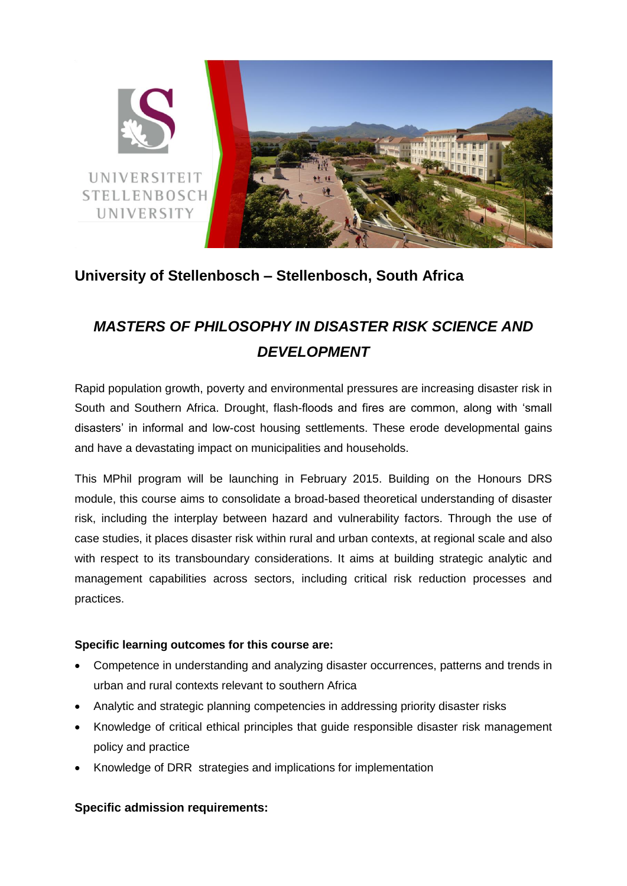

## **University of Stellenbosch – Stellenbosch, South Africa**

# *MASTERS OF PHILOSOPHY IN DISASTER RISK SCIENCE AND DEVELOPMENT*

Rapid population growth, poverty and environmental pressures are increasing disaster risk in South and Southern Africa. Drought, flash-floods and fires are common, along with 'small disasters' in informal and low-cost housing settlements. These erode developmental gains and have a devastating impact on municipalities and households.

This MPhil program will be launching in February 2015. Building on the Honours DRS module, this course aims to consolidate a broad-based theoretical understanding of disaster risk, including the interplay between hazard and vulnerability factors. Through the use of case studies, it places disaster risk within rural and urban contexts, at regional scale and also with respect to its transboundary considerations. It aims at building strategic analytic and management capabilities across sectors, including critical risk reduction processes and practices.

#### **Specific learning outcomes for this course are:**

- Competence in understanding and analyzing disaster occurrences, patterns and trends in urban and rural contexts relevant to southern Africa
- Analytic and strategic planning competencies in addressing priority disaster risks
- Knowledge of critical ethical principles that guide responsible disaster risk management policy and practice
- Knowledge of DRR strategies and implications for implementation

#### **Specific admission requirements:**